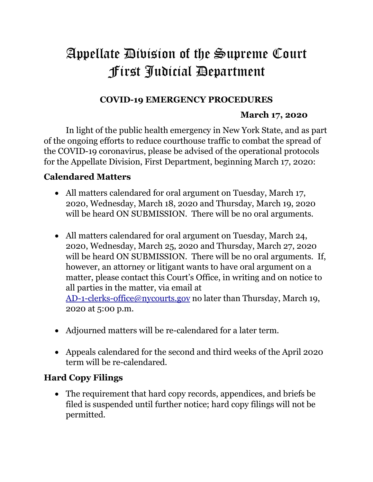# Appellate Division of the Supreme Court First Judicial Department

### **COVID-19 EMERGENCY PROCEDURES**

#### **March 17, 2020**

In light of the public health emergency in New York State, and as part of the ongoing efforts to reduce courthouse traffic to combat the spread of the COVID-19 coronavirus, please be advised of the operational protocols for the Appellate Division, First Department, beginning March 17, 2020:

### **Calendared Matters**

- All matters calendared for oral argument on Tuesday, March 17, 2020, Wednesday, March 18, 2020 and Thursday, March 19, 2020 will be heard ON SUBMISSION. There will be no oral arguments.
- All matters calendared for oral argument on Tuesday, March 24, 2020, Wednesday, March 25, 2020 and Thursday, March 27, 2020 will be heard ON SUBMISSION. There will be no oral arguments. If, however, an attorney or litigant wants to have oral argument on a matter, please contact this Court's Office, in writing and on notice to all parties in the matter, via email at

AD-1-clerks-office@nycourts.gov no later than Thursday, March 19, 2020 at 5:00 p.m.

- Adjourned matters will be re-calendared for a later term.
- Appeals calendared for the second and third weeks of the April 2020 term will be re-calendared.

### **Hard Copy Filings**

 The requirement that hard copy records, appendices, and briefs be filed is suspended until further notice; hard copy filings will not be permitted.